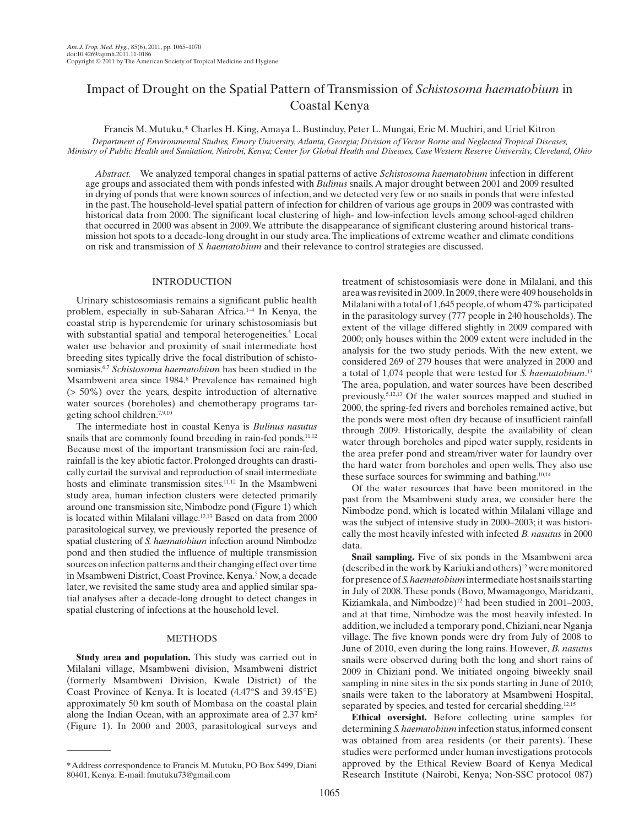# Impact of Drought on the Spatial Pattern of Transmission of *Schistosoma haematobium* in Coastal Kenya

Francis M. Mutuku ,\* Charles H. King , Amaya L. Bustinduy , Peter L. Mungai , Eric M. Muchiri , and Uriel Kitron

 *Department of Environmental Studies, Emory University, Atlanta, Georgia; Division of Vector Borne and Neglected Tropical Diseases, Ministry of Public Health and Sanitation, Nairobi, Kenya; Center for Global Health and Diseases, Case Western Reserve University, Cleveland, Ohio* 

*Abstract.* We analyzed temporal changes in spatial patterns of active *Schistosoma haematobium* infection in different age groups and associated them with ponds infested with *Bulinus* snails. A major drought between 2001 and 2009 resulted in drying of ponds that were known sources of infection, and we detected very few or no snails in ponds that were infested in the past. The household-level spatial pattern of infection for children of various age groups in 2009 was contrasted with historical data from 2000. The significant local clustering of high- and low-infection levels among school-aged children that occurred in 2000 was absent in 2009. We attribute the disappearance of significant clustering around historical transmission hot spots to a decade-long drought in our study area. The implications of extreme weather and climate conditions on risk and transmission of *S. haematobium* and their relevance to control strategies are discussed.

# INTRODUCTION

 Urinary schistosomiasis remains a significant public health problem, especially in sub-Saharan Africa. 1–4 In Kenya, the coastal strip is hyperendemic for urinary schistosomiasis but with substantial spatial and temporal heterogeneities.<sup>5</sup> Local water use behavior and proximity of snail intermediate host breeding sites typically drive the focal distribution of schistosomiasis. 6,7 *Schistosoma haematobium* has been studied in the Msambweni area since 1984. 8 Prevalence has remained high (> 50%) over the years, despite introduction of alternative water sources (boreholes) and chemotherapy programs targeting school children.<sup>7,9,10</sup>

 The intermediate host in coastal Kenya is *Bulinus nasutus* snails that are commonly found breeding in rain-fed ponds.<sup>11,12</sup> Because most of the important transmission foci are rain-fed, rainfall is the key abiotic factor. Prolonged droughts can drastically curtail the survival and reproduction of snail intermediate hosts and eliminate transmission sites.<sup>11,12</sup> In the Msambweni study area, human infection clusters were detected primarily around one transmission site, Nimbodze pond (Figure 1) which is located within Milalani village.<sup>12,13</sup> Based on data from 2000 parasitological survey, we previously reported the presence of spatial clustering of *S. haematobium* infection around Nimbodze pond and then studied the influence of multiple transmission sources on infection patterns and their changing effect over time in Msambweni District, Coast Province, Kenya.<sup>5</sup> Now, a decade later, we revisited the same study area and applied similar spatial analyses after a decade-long drought to detect changes in spatial clustering of infections at the household level.

#### METHODS

 **Study area and population.** This study was carried out in Milalani village, Msambweni division, Msambweni district (formerly Msambweni Division, Kwale District) of the Coast Province of Kenya. It is located (4.47°S and 39.45°E) approximately 50 km south of Mombasa on the coastal plain along the Indian Ocean, with an approximate area of  $2.37 \text{ km}^2$ (Figure 1). In 2000 and 2003, parasitological surveys and

treatment of schistosomiasis were done in Milalani, and this area was revisited in 2009. In 2009, there were 409 households in Milalani with a total of 1,645 people, of whom 47% participated in the parasitology survey (777 people in 240 households). The extent of the village differed slightly in 2009 compared with 2000; only houses within the 2009 extent were included in the analysis for the two study periods. With the new extent, we considered 269 of 279 houses that were analyzed in 2000 and a total of 1,074 people that were tested for *S. haematobium*.<sup>13</sup> The area, population, and water sources have been described previously. 5,12,13 Of the water sources mapped and studied in 2000, the spring-fed rivers and boreholes remained active, but the ponds were most often dry because of insufficient rainfall through 2009. Historically, despite the availability of clean water through boreholes and piped water supply, residents in the area prefer pond and stream/river water for laundry over the hard water from boreholes and open wells. They also use these surface sources for swimming and bathing.<sup>10,14</sup>

 Of the water resources that have been monitored in the past from the Msambweni study area, we consider here the Nimbodze pond, which is located within Milalani village and was the subject of intensive study in 2000–2003; it was historically the most heavily infested with infected *B. nasutus* in 2000 data.

 **Snail sampling.** Five of six ponds in the Msambweni area (described in the work by Kariuki and others) 12 were monitored for presence of *S. haematobium* intermediate host snails starting in July of 2008. These ponds (Bovo, Mwamagongo, Maridzani, Kiziamkala, and Nimbodze)<sup>12</sup> had been studied in 2001–2003, and at that time, Nimbodze was the most heavily infested. In addition, we included a temporary pond, Chiziani, near Nganja village. The five known ponds were dry from July of 2008 to June of 2010, even during the long rains. However, *B. nasutus* snails were observed during both the long and short rains of 2009 in Chiziani pond. We initiated ongoing biweekly snail sampling in nine sites in the six ponds starting in June of 2010; snails were taken to the laboratory at Msambweni Hospital, separated by species, and tested for cercarial shedding.<sup>12,15</sup>

 **Ethical oversight.** Before collecting urine samples for determining *S. haematobium* infection status, informed consent was obtained from area residents (or their parents). These studies were performed under human investigations protocols approved by the Ethical Review Board of Kenya Medical Research Institute (Nairobi, Kenya; Non-SSC protocol 087)

 <sup>\*</sup> Address correspondence to Francis M. Mutuku, PO Box 5499, Diani 80401, Kenya. E-mail: fmutuku73@gmail.com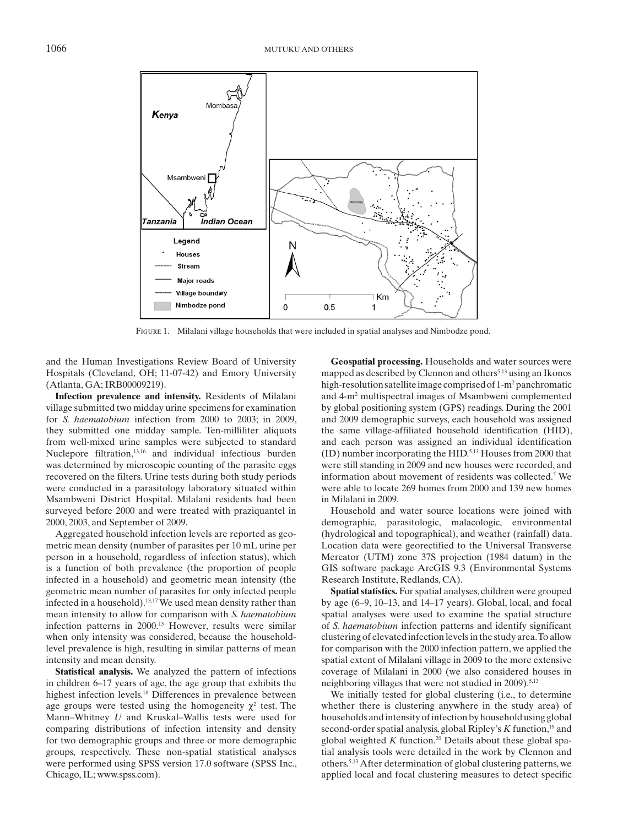

Figure 1. Milalani village households that were included in spatial analyses and Nimbodze pond.

and the Human Investigations Review Board of University Hospitals (Cleveland, OH; 11-07-42) and Emory University (Atlanta, GA; IRB00009219).

 **Infection prevalence and intensity.** Residents of Milalani village submitted two midday urine specimens for examination for *S. haematobium* infection from 2000 to 2003; in 2009, they submitted one midday sample. Ten-milliliter aliquots from well-mixed urine samples were subjected to standard Nuclepore filtration, 13,16 and individual infectious burden was determined by microscopic counting of the parasite eggs recovered on the filters. Urine tests during both study periods were conducted in a parasitology laboratory situated within Msambweni District Hospital. Milalani residents had been surveyed before 2000 and were treated with praziquantel in 2000, 2003, and September of 2009.

 Aggregated household infection levels are reported as geometric mean density (number of parasites per 10 mL urine per person in a household, regardless of infection status), which is a function of both prevalence (the proportion of people infected in a household) and geometric mean intensity (the geometric mean number of parasites for only infected people infected in a household). 13,17 We used mean density rather than mean intensity to allow for comparison with *S. haematobium* infection patterns in 2000.<sup>13</sup> However, results were similar when only intensity was considered, because the householdlevel prevalence is high, resulting in similar patterns of mean intensity and mean density.

 **Statistical analysis.** We analyzed the pattern of infections in children 6–17 years of age, the age group that exhibits the highest infection levels.<sup>18</sup> Differences in prevalence between age groups were tested using the homogeneity  $\chi^2$  test. The Mann–Whitney *U* and Kruskal–Wallis tests were used for comparing distributions of infection intensity and density for two demographic groups and three or more demographic groups, respectively. These non-spatial statistical analyses were performed using SPSS version 17.0 software (SPSS Inc., Chicago, IL; www.spss.com ).

 **Geospatial processing.** Households and water sources were mapped as described by Clennon and others<sup>5,13</sup> using an Ikonos high-resolution satellite image comprised of 1-m<sup>2</sup> panchromatic and 4-m<sup>2</sup> multispectral images of Msambweni complemented by global positioning system (GPS) readings. During the 2001 and 2009 demographic surveys, each household was assigned the same village-affiliated household identification (HID), and each person was assigned an individual identification (ID) number incorporating the HID. 5,13 Houses from 2000 that were still standing in 2009 and new houses were recorded, and information about movement of residents was collected.<sup>5</sup> We were able to locate 269 homes from 2000 and 139 new homes in Milalani in 2009.

 Household and water source locations were joined with demographic, parasitologic, malacologic, environmental (hydrological and topographical), and weather (rainfall) data. Location data were georectified to the Universal Transverse Mercator (UTM) zone 37S projection (1984 datum) in the GIS software package ArcGIS 9.3 (Environmental Systems Research Institute, Redlands, CA).

 **Spatial statistics.** For spatial analyses, children were grouped by age (6–9, 10–13, and 14–17 years). Global, local, and focal spatial analyses were used to examine the spatial structure of *S. haematobium* infection patterns and identify significant clustering of elevated infection levels in the study area. To allow for comparison with the 2000 infection pattern, we applied the spatial extent of Milalani village in 2009 to the more extensive coverage of Milalani in 2000 (we also considered houses in neighboring villages that were not studied in 2009).<sup>5,13</sup>

 We initially tested for global clustering (i.e., to determine whether there is clustering anywhere in the study area) of households and intensity of infection by household using global second-order spatial analysis, global Ripley's *K* function, 19 and global weighted  $K$  function.<sup>20</sup> Details about these global spatial analysis tools were detailed in the work by Clennon and others. 5,13 After determination of global clustering patterns, we applied local and focal clustering measures to detect specific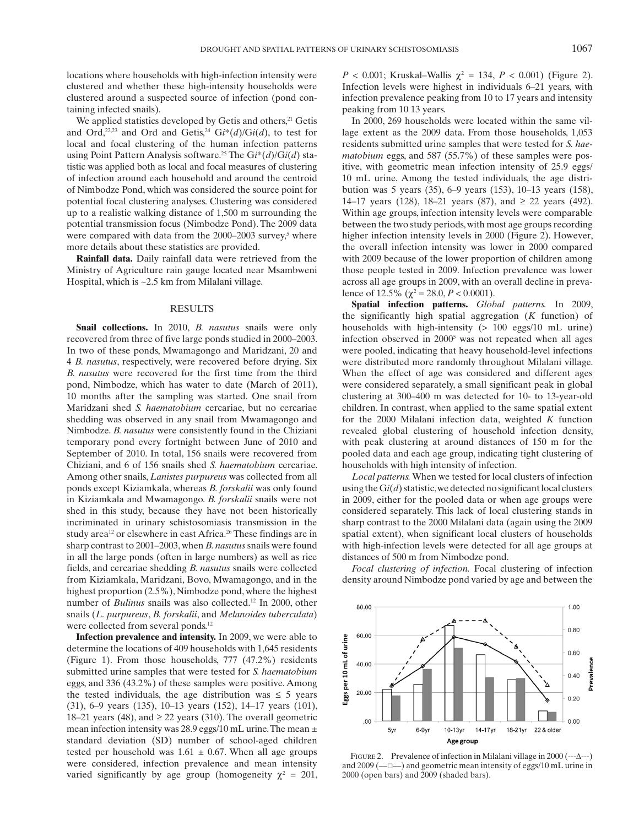locations where households with high-infection intensity were clustered and whether these high-intensity households were clustered around a suspected source of infection (pond containing infected snails).

We applied statistics developed by Getis and others,<sup>21</sup> Getis and Ord,<sup>22,23</sup> and Ord and Getis,<sup>24</sup> Gi<sup>\*</sup>(d)/Gi(d), to test for local and focal clustering of the human infection patterns using Point Pattern Analysis software.<sup>25</sup> The Gi<sup>\*</sup>(d)/Gi(d) statistic was applied both as local and focal measures of clustering of infection around each household and around the centroid of Nimbodze Pond, which was considered the source point for potential focal clustering analyses. Clustering was considered up to a realistic walking distance of 1,500 m surrounding the potential transmission focus (Nimbodze Pond). The 2009 data were compared with data from the  $2000-2003$  survey,<sup>5</sup> where more details about these statistics are provided.

 **Rainfall data.** Daily rainfall data were retrieved from the Ministry of Agriculture rain gauge located near Msambweni Hospital, which is ~2.5 km from Milalani village.

## **RESULTS**

 **Snail collections.** In 2010, *B. nasutus* snails were only recovered from three of five large ponds studied in 2000–2003. In two of these ponds, Mwamagongo and Maridzani, 20 and 4 *B. nasutus* , respectively, were recovered before drying. Six *B. nasutus* were recovered for the first time from the third pond, Nimbodze, which has water to date (March of 2011), 10 months after the sampling was started. One snail from Maridzani shed *S. haematobium* cercariae, but no cercariae shedding was observed in any snail from Mwamagongo and Nimbodze. *B. nasutus* were consistently found in the Chiziani temporary pond every fortnight between June of 2010 and September of 2010. In total, 156 snails were recovered from Chiziani, and 6 of 156 snails shed *S. haematobium* cercariae. Among other snails, *Lanistes purpureus* was collected from all ponds except Kiziamkala, whereas *B. forskalii* was only found in Kiziamkala and Mwamagongo. *B. forskalii* snails were not shed in this study, because they have not been historically incriminated in urinary schistosomiasis transmission in the study area<sup>12</sup> or elsewhere in east Africa.<sup>26</sup> These findings are in sharp contrast to 2001–2003, when *B. nasutus* snails were found in all the large ponds (often in large numbers) as well as rice fields, and cercariae shedding *B. nasutus* snails were collected from Kiziamkala, Maridzani, Bovo, Mwamagongo, and in the highest proportion (2.5%), Nimbodze pond, where the highest number of *Bulinus* snails was also collected.<sup>12</sup> In 2000, other snails (*L. purpureus, B. forskalii, and Melanoides tuberculata*) were collected from several ponds.<sup>12</sup>

 **Infection prevalence and intensity.** In 2009, we were able to determine the locations of 409 households with 1,645 residents (Figure 1). From those households,  $777$  (47.2%) residents submitted urine samples that were tested for *S. haematobium* eggs, and 336 (43.2%) of these samples were positive. Among the tested individuals, the age distribution was  $\leq$  5 years (31), 6–9 years (135), 10–13 years (152), 14–17 years (101), 18–21 years (48), and  $\geq$  22 years (310). The overall geometric mean infection intensity was 28.9 eggs/10 mL urine. The mean ± standard deviation (SD) number of school-aged children tested per household was  $1.61 \pm 0.67$ . When all age groups were considered, infection prevalence and mean intensity varied significantly by age group (homogeneity  $\chi^2 = 201$ ,

*P* < 0.001; Kruskal–Wallis  $\chi^2 = 134$ , *P* < 0.001) (Figure 2). Infection levels were highest in individuals 6–21 years, with infection prevalence peaking from 10 to 17 years and intensity peaking from 10 13 years.

 In 2000, 269 households were located within the same village extent as the 2009 data. From those households, 1,053 residents submitted urine samples that were tested for *S. haematobium* eggs, and 587 (55.7%) of these samples were positive, with geometric mean infection intensity of 25.9 eggs/ 10 mL urine. Among the tested individuals, the age distribution was 5 years (35), 6–9 years (153), 10–13 years (158), 14–17 years (128), 18–21 years (87), and  $\geq$  22 years (492). Within age groups, infection intensity levels were comparable between the two study periods, with most age groups recording higher infection intensity levels in 2000 (Figure 2). However, the overall infection intensity was lower in 2000 compared with 2009 because of the lower proportion of children among those people tested in 2009. Infection prevalence was lower across all age groups in 2009, with an overall decline in prevalence of 12.5% ( $\chi^2$  = 28.0, *P* < 0.0001).

 **Spatial infection patterns.** *Global patterns.* In 2009, the significantly high spatial aggregation  $(K$  function) of households with high-intensity (> 100 eggs/10 mL urine) infection observed in 2000<sup>5</sup> was not repeated when all ages were pooled, indicating that heavy household-level infections were distributed more randomly throughout Milalani village. When the effect of age was considered and different ages were considered separately, a small significant peak in global clustering at 300–400 m was detected for 10- to 13-year-old children. In contrast, when applied to the same spatial extent for the 2000 Milalani infection data, weighted *K* function revealed global clustering of household infection density, with peak clustering at around distances of 150 m for the pooled data and each age group, indicating tight clustering of households with high intensity of infection.

 *Local patterns.* When we tested for local clusters of infection using the  $Gi(d)$  statistic, we detected no significant local clusters in 2009, either for the pooled data or when age groups were considered separately. This lack of local clustering stands in sharp contrast to the 2000 Milalani data (again using the 2009 spatial extent), when significant local clusters of households with high-infection levels were detected for all age groups at distances of 500 m from Nimbodze pond.

 *Focal clustering of infection.* Focal clustering of infection density around Nimbodze pond varied by age and between the



FIGURE 2. Prevalence of infection in Milalani village in 2000 ( $---\Delta---$ ) and 2009 (––£––) and geometric mean intensity of eggs/10 mL urine in 2000 (open bars) and 2009 (shaded bars).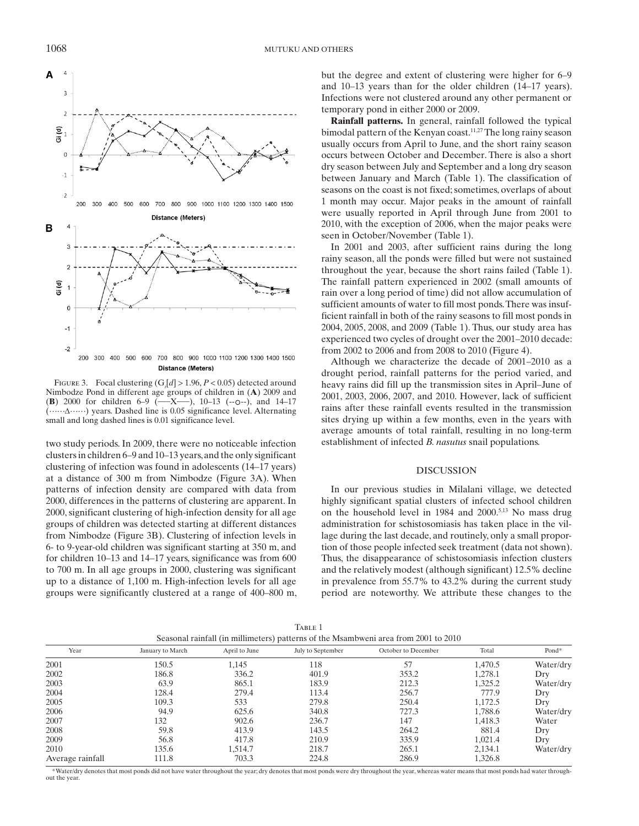

FIGURE 3. Focal clustering  $(G,[d] > 1.96, P < 0.05)$  detected around Nimbodze Pond in different age groups of children in  $(A)$  2009 and  $(B)$  2000 for children 6–9  $(-X-)$ , 10–13  $(-0-)$ , and 14–17  $\overline{X}$ , 10–13 (--0--), and 14–17 (……D……) years. Dashed line is 0.05 significance level. Alternating small and long dashed lines is 0.01 significance level.

two study periods. In 2009, there were no noticeable infection clusters in children 6–9 and 10–13 years, and the only significant clustering of infection was found in adolescents (14–17 years) at a distance of 300 m from Nimbodze (Figure 3A). When patterns of infection density are compared with data from 2000, differences in the patterns of clustering are apparent. In 2000, significant clustering of high-infection density for all age groups of children was detected starting at different distances from Nimbodze ( Figure 3B ). Clustering of infection levels in 6- to 9-year-old children was significant starting at 350 m, and for children 10–13 and 14–17 years, significance was from 600 to 700 m. In all age groups in 2000, clustering was significant up to a distance of 1,100 m. High-infection levels for all age groups were significantly clustered at a range of 400–800 m, but the degree and extent of clustering were higher for 6–9 and 10–13 years than for the older children (14–17 years). Infections were not clustered around any other permanent or temporary pond in either 2000 or 2009.

 **Rainfall patterns.** In general, rainfall followed the typical bimodal pattern of the Kenyan coast.<sup>11,27</sup> The long rainy season usually occurs from April to June, and the short rainy season occurs between October and December. There is also a short dry season between July and September and a long dry season between January and March (Table 1). The classification of seasons on the coast is not fixed; sometimes, overlaps of about 1 month may occur. Major peaks in the amount of rainfall were usually reported in April through June from 2001 to 2010, with the exception of 2006, when the major peaks were seen in October/November (Table 1).

 In 2001 and 2003, after sufficient rains during the long rainy season, all the ponds were filled but were not sustained throughout the year, because the short rains failed (Table 1). The rainfall pattern experienced in 2002 (small amounts of rain over a long period of time) did not allow accumulation of sufficient amounts of water to fill most ponds. There was insufficient rainfall in both of the rainy seasons to fill most ponds in 2004, 2005, 2008, and 2009 (Table 1). Thus, our study area has experienced two cycles of drought over the 2001–2010 decade: from 2002 to 2006 and from 2008 to 2010 (Figure 4).

 Although we characterize the decade of 2001–2010 as a drought period, rainfall patterns for the period varied, and heavy rains did fill up the transmission sites in April–June of 2001, 2003, 2006, 2007, and 2010. However, lack of sufficient rains after these rainfall events resulted in the transmission sites drying up within a few months, even in the years with average amounts of total rainfall, resulting in no long-term establishment of infected *B. nasutus* snail populations.

### DISCUSSION

 In our previous studies in Milalani village, we detected highly significant spatial clusters of infected school children on the household level in 1984 and 2000.<sup>5,13</sup> No mass drug administration for schistosomiasis has taken place in the village during the last decade, and routinely, only a small proportion of those people infected seek treatment (data not shown). Thus, the disappearance of schistosomiasis infection clusters and the relatively modest (although significant) 12.5% decline in prevalence from 55.7% to 43.2% during the current study period are noteworthy. We attribute these changes to the

| Seasonal rainfall (in millimeters) patterns of the Msambweni area from 2001 to 2010 |                  |               |                   |                     |         |           |
|-------------------------------------------------------------------------------------|------------------|---------------|-------------------|---------------------|---------|-----------|
| Year                                                                                | January to March | April to June | July to September | October to December | Total   | Pond*     |
| 2001                                                                                | 150.5            | 1.145         | 118               | 57                  | 1.470.5 | Water/dry |
| 2002                                                                                | 186.8            | 336.2         | 401.9             | 353.2               | 1.278.1 | Dry       |
| 2003                                                                                | 63.9             | 865.1         | 183.9             | 212.3               | 1,325.2 | Water/dry |
| 2004                                                                                | 128.4            | 279.4         | 113.4             | 256.7               | 777.9   | Dry       |
| 2005                                                                                | 109.3            | 533           | 279.8             | 250.4               | 1.172.5 | Dry       |
| 2006                                                                                | 94.9             | 625.6         | 340.8             | 727.3               | 1.788.6 | Water/dry |
| 2007                                                                                | 132              | 902.6         | 236.7             | 147                 | 1,418.3 | Water     |
| 2008                                                                                | 59.8             | 413.9         | 143.5             | 264.2               | 881.4   | Dry       |
| 2009                                                                                | 56.8             | 417.8         | 210.9             | 335.9               | 1.021.4 | Dry       |
| 2010                                                                                | 135.6            | 1.514.7       | 218.7             | 265.1               | 2,134.1 | Water/dry |
| Average rainfall                                                                    | 111.8            | 703.3         | 224.8             | 286.9               | 1,326.8 |           |

TABLE 1

 \* Water/dry denotes that most ponds did not have water throughout the year; dry denotes that most ponds were dry throughout the year, whereas water means that most ponds had water throughout the year.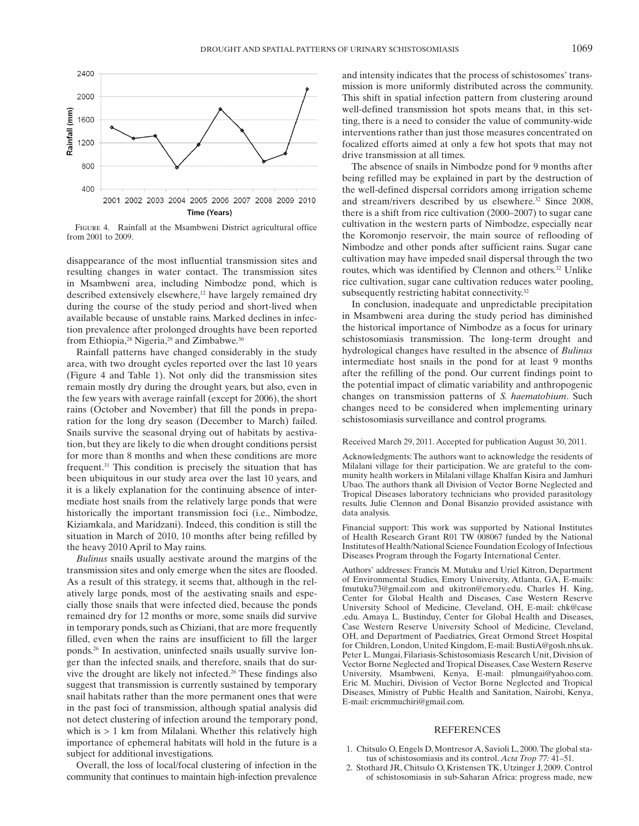

FIGURE 4. Rainfall at the Msambweni District agricultural office from 2001 to 2009.

disappearance of the most influential transmission sites and resulting changes in water contact. The transmission sites in Msambweni area, including Nimbodze pond, which is described extensively elsewhere,<sup>12</sup> have largely remained dry during the course of the study period and short-lived when available because of unstable rains. Marked declines in infection prevalence after prolonged droughts have been reported from Ethiopia,<sup>28</sup> Nigeria,<sup>29</sup> and Zimbabwe.<sup>30</sup>

 Rainfall patterns have changed considerably in the study area, with two drought cycles reported over the last 10 years (Figure 4 and Table 1). Not only did the transmission sites remain mostly dry during the drought years, but also, even in the few years with average rainfall (except for 2006), the short rains (October and November) that fill the ponds in preparation for the long dry season (December to March) failed. Snails survive the seasonal drying out of habitats by aestivation, but they are likely to die when drought conditions persist for more than 8 months and when these conditions are more frequent.<sup>31</sup> This condition is precisely the situation that has been ubiquitous in our study area over the last 10 years, and it is a likely explanation for the continuing absence of intermediate host snails from the relatively large ponds that were historically the important transmission foci (i.e., Nimbodze, Kiziamkala, and Maridzani). Indeed, this condition is still the situation in March of 2010, 10 months after being refilled by the heavy 2010 April to May rains.

*Bulinus* snails usually aestivate around the margins of the transmission sites and only emerge when the sites are flooded. As a result of this strategy, it seems that, although in the relatively large ponds, most of the aestivating snails and especially those snails that were infected died, because the ponds remained dry for 12 months or more, some snails did survive in temporary ponds, such as Chiziani, that are more frequently filled, even when the rains are insufficient to fill the larger ponds. 26 In aestivation, uninfected snails usually survive longer than the infected snails, and therefore, snails that do survive the drought are likely not infected.<sup>26</sup> These findings also suggest that transmission is currently sustained by temporary snail habitats rather than the more permanent ones that were in the past foci of transmission, although spatial analysis did not detect clustering of infection around the temporary pond, which is  $> 1$  km from Milalani. Whether this relatively high importance of ephemeral habitats will hold in the future is a subject for additional investigations.

 Overall, the loss of local/focal clustering of infection in the community that continues to maintain high-infection prevalence

and intensity indicates that the process of schistosomes' transmission is more uniformly distributed across the community. This shift in spatial infection pattern from clustering around well-defined transmission hot spots means that, in this setting, there is a need to consider the value of community-wide interventions rather than just those measures concentrated on focalized efforts aimed at only a few hot spots that may not drive transmission at all times.

 The absence of snails in Nimbodze pond for 9 months after being refilled may be explained in part by the destruction of the well-defined dispersal corridors among irrigation scheme and stream/rivers described by us elsewhere.<sup>32</sup> Since 2008, there is a shift from rice cultivation (2000–2007) to sugar cane cultivation in the western parts of Nimbodze, especially near the Koromonjo reservoir, the main source of reflooding of Nimbodze and other ponds after sufficient rains. Sugar cane cultivation may have impeded snail dispersal through the two routes, which was identified by Clennon and others.<sup>32</sup> Unlike rice cultivation, sugar cane cultivation reduces water pooling, subsequently restricting habitat connectivity.<sup>32</sup>

 In conclusion, inadequate and unpredictable precipitation in Msambweni area during the study period has diminished the historical importance of Nimbodze as a focus for urinary schistosomiasis transmission. The long-term drought and hydrological changes have resulted in the absence of *Bulinus* intermediate host snails in the pond for at least 9 months after the refilling of the pond. Our current findings point to the potential impact of climatic variability and anthropogenic changes on transmission patterns of *S. haematobium*. Such changes need to be considered when implementing urinary schistosomiasis surveillance and control programs.

#### Received March 29, 2011. Accepted for publication August 30, 2011.

 Acknowledgments: The authors want to acknowledge the residents of Milalani village for their participation. We are grateful to the community health workers in Milalani village Khalfan Kisira and Jamhuri Ubao. The authors thank all Division of Vector Borne Neglected and Tropical Diseases laboratory technicians who provided parasitology results. Julie Clennon and Donal Bisanzio provided assistance with data analysis.

 Financial support: This work was supported by National Institutes of Health Research Grant R01 TW 008067 funded by the National Institutes of Health/National Science Foundation Ecology of Infectious Diseases Program through the Fogarty International Center.

 Authors' addresses: Francis M. Mutuku and Uriel Kitron, Department of Environmental Studies, Emory University, Atlanta, GA, E-mails: fmutuku73@gmail.com and ukitron@emory.edu . Charles H. King, Center for Global Health and Diseases, Case Western Reserve University School of Medicine, Cleveland, OH, E-mail: chk@case .edu . Amaya L. Bustinduy, Center for Global Health and Diseases, Case Western Reserve University School of Medicine, Cleveland, OH, and Department of Paediatrics, Great Ormond Street Hospital for Children, London, United Kingdom, E-mail: BustiA@gosh.nhs.uk . Peter L. Mungai, Filariasis-Schistosomiasis Research Unit, Division of Vector Borne Neglected and Tropical Diseases, Case Western Reserve University, Msambweni, Kenya, E-mail: plmungai@yahoo.com. Eric M. Muchiri, Division of Vector Borne Neglected and Tropical Diseases, Ministry of Public Health and Sanitation, Nairobi, Kenya, E-mail: ericmmuchiri@gmail.com .

#### REFERENCES

- 1. Chitsulo O, Engels D, Montresor A, Savioli L, 2000. The global status of schistosomiasis and its control. *Acta Trop* 77: 41-51.
- 2. Stothard JR, Chitsulo O, Kristensen TK, Utzinger J, 2009. Control of schistosomiasis in sub-Saharan Africa: progress made, new